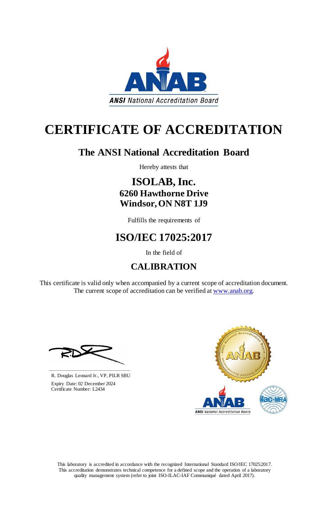This laboratory is accredited in accordance with the recognized International Standard ISO/IEC 17025:2017. This accreditation demonstrates technical competence for a defined scope and the operation of a laboratory quality management system (refer to joint ISO-ILAC-IAF Communiqué dated April 2017).

This certificate is valid only when accompanied by a current scope of accreditation document. The current scope of accreditation can be verified at [www.anab.org.](http://www.anab.org/)



# **CERTIFICATE OF ACCREDITATION**

# **The ANSI National Accreditation Board**

Hereby attests that

### **ISOLAB, Inc. 6260 Hawthorne Drive Windsor, ON N8T 1J9**

Fulfills the requirements of

# **ISO/IEC 17025:2017**

In the field of

## **CALIBRATION**





R. Douglas Leonard Jr., VP, PILR SBU

 Expiry Date: 02 December 2024 Certificate Number: L2434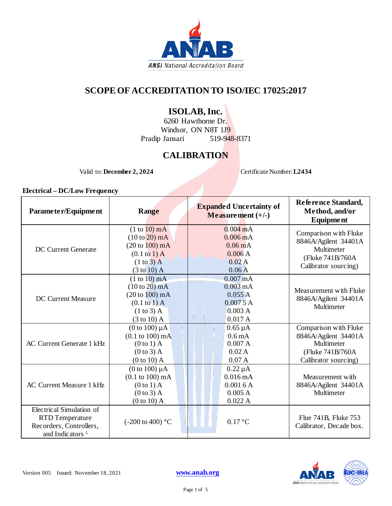

### **SCOPE OF ACCREDITATION TO ISO/IEC 17025:2017**

### **ISOLAB, Inc.**

6260 Hawthorne Dr. Windsor, ON N8T 1J9<br>Jansari 519-948-8371 Pradip Jansari

### **CALIBRATION**

Valid to: **December 2, 2024** Certificate Number: **L2434** 

#### **Electrical – DC/Low Frequency**

| Parameter/Equipment                                                                                          | Range                                                                                                                                       | <b>Expanded Uncertainty of</b><br>Measurement $(+/-)$                                     | Reference Standard,<br>Method, and/or<br><b>Equipment</b>                                                |
|--------------------------------------------------------------------------------------------------------------|---------------------------------------------------------------------------------------------------------------------------------------------|-------------------------------------------------------------------------------------------|----------------------------------------------------------------------------------------------------------|
| <b>DC</b> Current Generate                                                                                   | $(1 to 10)$ mA<br>$(10 to 20)$ mA<br>$(20 \text{ to } 100) \text{ mA}$<br>$(0.1 \text{ to } 1)$ A<br>$(1 to 3)$ A<br>$(3 \text{ to } 10)$ A | $0.004 \text{ mA}$<br>$0.006 \text{ mA}$<br>$0.06 \text{ mA}$<br>0.006A<br>0.02A<br>0.06A | Comparison with Fluke<br>8846A/Agilent 34401A<br>Multimeter<br>(Fluke 741B/760A)<br>Calibrator sourcing) |
| <b>DC Current Measure</b>                                                                                    | (1 to 10) mA<br>$(10 to 20)$ mA<br>$(20 to 100)$ mA<br>$(0.1 \text{ to } 1)$ A<br>$(1 to 3)$ A<br>$(3 \text{ to } 10)$ A                    | 0.007 <sub>m</sub> A<br>$0.003 \text{ mA}$<br>0.055A<br>0.0075A<br>0.003A<br>0.017A       | Measurement with Fluke<br>8846A/Agilent 34401A<br>Multimeter                                             |
| <b>AC Current Generate 1 kHz</b>                                                                             | (0 to 100) $\mu$ A<br>$(0.1 \text{ to } 100) \text{ mA}$<br>$(0 to 1)$ A<br>$(0 to 3)$ A<br>$(0 to 10)$ A                                   | $0.65 \mu A$<br>0.6 <sub>m</sub> A<br>0.007A<br>0.02A<br>0.07A                            | Comparison with Fluke<br>8846A/Agilent 34401A<br>Multimeter<br>(Fluke 741B/760A<br>Calibrator sourcing)  |
| <b>AC Current Measure 1 kHz</b>                                                                              | (0 to 100) $\mu$ A<br>$(0.1 \text{ to } 100) \text{ mA}$<br>$(0 to 1)$ A<br>$(0 to 3)$ A<br>$(0 to 10)$ A                                   | $0.22 \mu A$<br>0.016mA<br>0.0016A<br>0.005A<br>0.022A                                    | Measurement with<br>8846A/Agilent 34401A<br>Multimeter                                                   |
| Electrical Simulation of<br><b>RTD</b> Temperature<br>Recorders, Controllers,<br>and Indicators <sup>1</sup> | $(-200 \text{ to } 400)$ °C                                                                                                                 | $0.17\text{ °C}$                                                                          | Flue 741B, Fluke 753<br>Calibrator, Decade box.                                                          |

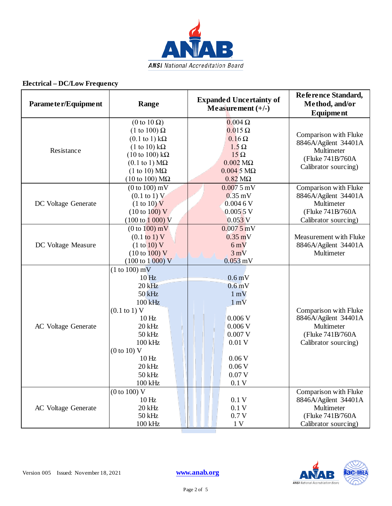

#### **Electrical – DC/Low Frequency**

| Parameter/Equipment        | Range                                                                                                                                                                                                                                                                                                    | <b>Expanded Uncertainty of</b><br>Measurement $(+/-)$                                                                                                | Reference Standard,<br>Method, and/or<br>Equipment                                                      |
|----------------------------|----------------------------------------------------------------------------------------------------------------------------------------------------------------------------------------------------------------------------------------------------------------------------------------------------------|------------------------------------------------------------------------------------------------------------------------------------------------------|---------------------------------------------------------------------------------------------------------|
| Resistance                 | $(0 \text{ to } 10 \Omega)$<br>(1 to 100) $\Omega$<br>$(0.1 \text{ to } 1) \text{ k}\Omega$<br>$(1 \text{ to } 10) \text{ k}\Omega$<br>$(10 \text{ to } 100) \text{ k}\Omega$<br>$(0.1 \text{ to } 1) \text{ M}\Omega$<br>$(1 \text{ to } 10) \text{ M}\Omega$<br>$(10 \text{ to } 100) \text{ M}\Omega$ | $0.004\ \Omega$<br>$0.015 \Omega$<br>$0.16 \Omega$<br>$1.5 \Omega$<br>$15\Omega$<br>$0.002$ M $\Omega$<br>$0.0045 M\Omega$<br>$0.82$ M $\Omega$      | Comparison with Fluke<br>8846A/Agilent 34401A<br>Multimeter<br>(Fluke 741B/760A<br>Calibrator sourcing) |
| DC Voltage Generate        | $(0 to 100)$ mV<br>$(0.1 \text{ to } 1) V$<br>(1 to 10) V<br>(10 to 100) V<br>$(100 \text{ to } 1000) \text{ V}$                                                                                                                                                                                         | $0.0075$ mV<br>$0.35$ mV<br>0.0046V<br>0.0055 V<br>$0.053$ <sub>V</sub>                                                                              | Comparison with Fluke<br>8846A/Agilent 34401A<br>Multimeter<br>(Fluke 741B/760A<br>Calibrator sourcing) |
| DC Voltage Measure         | (0 to 100) mV<br>$(0.1 \text{ to } 1) V$<br>(1 to 10) V<br>(10 to 100) V<br>$(100 \text{ to } 1000) \text{ V}$                                                                                                                                                                                           | $0.0075$ mV<br>$0.35$ mV<br>6mV<br>$3 \text{ mV}$<br>$0.053$ mV                                                                                      | Measurement with Fluke<br>8846A/Agilent 34401A<br>Multimeter                                            |
| AC Voltage Generate        | $(1 to 100)$ mV<br>10 <sub>Hz</sub><br>$20$ kHz<br>50 kHz<br>100 kHz<br>$(0.1 \text{ to } 1) \text{ V}$<br>10 <sub>Hz</sub><br>20 kHz<br>50 kHz<br>100 kHz<br>(0 to 10) V<br>10 <sub>Hz</sub><br>20 kHz<br>50 kHz<br>100 kHz                                                                             | 0.6 <sub>m</sub> V<br>0.6 <sub>m</sub><br>$1 \text{ mV}$<br>$1 \text{ mV}$<br>0.006V<br>0.006V<br>0.007V<br>0.01V<br>0.06V<br>0.06V<br>0.07V<br>0.1V | Comparison with Fluke<br>8846A/Agilent 34401A<br>Multimeter<br>(Fluke 741B/760A<br>Calibrator sourcing) |
| <b>AC</b> Voltage Generate | (0 to 100) V<br>10 <sub>Hz</sub><br>20 kHz<br>50 kHz<br>100 kHz                                                                                                                                                                                                                                          | 0.1V<br>0.1V<br>0.7V<br>1 <sub>V</sub>                                                                                                               | Comparison with Fluke<br>8846A/Agilent 34401A<br>Multimeter<br>(Fluke 741B/760A<br>Calibrator sourcing) |

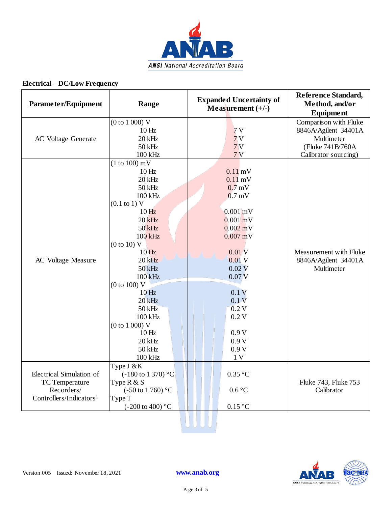

#### **Electrical – DC/Low Frequency**

| Parameter/Equipment                 | Range                               | <b>Expanded Uncertainty of</b><br>Measurement $(+/-)$ | Reference Standard,<br>Method, and/or<br>Equipment |
|-------------------------------------|-------------------------------------|-------------------------------------------------------|----------------------------------------------------|
|                                     | (0 to 1 000) V                      |                                                       | Comparison with Fluke                              |
|                                     | 10 <sub>Hz</sub>                    | 7V                                                    | 8846A/Agilent 34401A                               |
| AC Voltage Generate                 | 20 kHz                              | 7V                                                    | Multimeter                                         |
|                                     | 50 kHz                              | 7V                                                    | (Fluke 741B/760A                                   |
|                                     | 100 kHz                             | 7V                                                    | Calibrator sourcing)                               |
|                                     | $(1 to 100)$ mV                     |                                                       |                                                    |
|                                     | 10 <sub>Hz</sub>                    | $0.11$ mV                                             |                                                    |
|                                     | 20 kHz                              | $0.11 \text{ mV}$                                     |                                                    |
|                                     | 50 kHz                              | $0.7$ mV                                              |                                                    |
|                                     | 100 kHz                             | $0.7$ mV                                              |                                                    |
|                                     | $(0.1 \text{ to } 1) \text{ V}$     |                                                       |                                                    |
|                                     | 10 <sub>Hz</sub>                    | $0.001$ <sub>m</sub> V                                |                                                    |
|                                     | $20$ kHz                            | $0.001$ mV                                            |                                                    |
|                                     | $50$ kHz                            | $0.002$ mV                                            |                                                    |
|                                     | 100 kHz                             | $0.007$ mV                                            |                                                    |
|                                     | (0 to 10) V<br>10 <sub>Hz</sub>     | 0.01V                                                 | Measurement with Fluke                             |
|                                     | $20$ kHz                            | 0.01V                                                 |                                                    |
| AC Voltage Measure                  | $50$ kHz                            | 0.02V                                                 | 8846A/Agilent 34401A<br>Multimeter                 |
|                                     | $100$ kHz                           | 0.07 <sub>N</sub>                                     |                                                    |
|                                     | (0 to 100) V                        |                                                       |                                                    |
|                                     | 10 <sub>Hz</sub>                    | 0.1V                                                  |                                                    |
|                                     | $20$ kHz                            | 0.1V                                                  |                                                    |
|                                     | 50 kHz                              | 0.2V                                                  |                                                    |
|                                     | 100 kHz                             | 0.2V                                                  |                                                    |
|                                     | (0 to 1 000) V                      |                                                       |                                                    |
|                                     | 10 <sub>Hz</sub>                    | 0.9V                                                  |                                                    |
|                                     | 20 kHz                              | 0.9V                                                  |                                                    |
|                                     | 50 kHz                              | 0.9V                                                  |                                                    |
|                                     | $100$ kHz                           | 1 <sub>V</sub>                                        |                                                    |
|                                     | Type J &K                           |                                                       |                                                    |
| Electrical Simulation of            | $(-180 \text{ to } 1370)$ °C        | $0.35\text{ °C}$                                      |                                                    |
| TC Temperature                      | Type $R & S$                        |                                                       | Fluke 743, Fluke 753                               |
| Recorders/                          | (-50 to 1 760) $^{\circ} \mathrm C$ | $0.6\,^{\circ}\mathrm{C}$                             | Calibrator                                         |
| Controllers/Indicators <sup>1</sup> | Type T                              |                                                       |                                                    |
|                                     | $(-200 \text{ to } 400)$ °C         | $0.15\text{ °C}$                                      |                                                    |
|                                     |                                     |                                                       |                                                    |

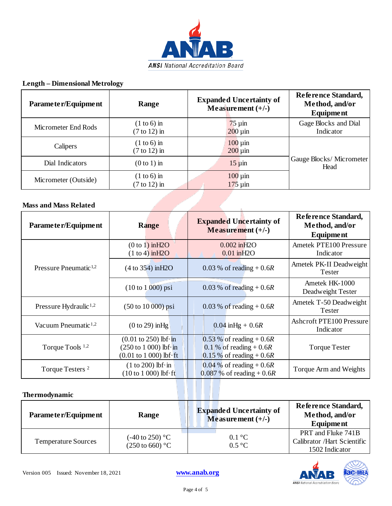

#### **Length – Dimensional Metrology**

| Parameter/Equipment  | Range                                    | <b>Expanded Uncertainty of</b><br>Measurement $(+/-)$ | Reference Standard,<br>Method, and/or<br>Equipment |
|----------------------|------------------------------------------|-------------------------------------------------------|----------------------------------------------------|
| Micrometer End Rods  | $(1 to 6)$ in<br>$(7 \text{ to } 12)$ in | $75 \mu$ in<br>$200 \mu m$                            | Gage Blocks and Dial<br>Indicator                  |
| Calipers             | $(1 to 6)$ in<br>$(7 \text{ to } 12)$ in | $100 \mu m$<br>$200 \mu m$                            |                                                    |
| Dial Indicators      | $(0 to 1)$ in                            | $15 \mu$ in                                           | Gauge Blocks/Micrometer<br>Head                    |
| Micrometer (Outside) | $(1 to 6)$ in<br>$(7 \text{ to } 12)$ in | $100 \mu m$<br>$175 \mu m$                            |                                                    |

**Contract Contract Contract Contract Contract Contract Contract Contract Contract Contract Contract Contract Contract Contract Contract Contract Contract Contract Contract Contract Contract Contract Contract Contract Contr** 

#### **Mass and Mass Related**

| Parameter/Equipment               | <b>Range</b>                                                                                                                                             | <b>Expanded Uncertainty of</b><br>Measurement $(+/-)$                                | Reference Standard,<br>Method, and/or<br><b>Equipment</b> |
|-----------------------------------|----------------------------------------------------------------------------------------------------------------------------------------------------------|--------------------------------------------------------------------------------------|-----------------------------------------------------------|
| Pressure Pneumatic <sup>1,2</sup> | (0 to 1) in H2O<br>(1 to 4) in H2O                                                                                                                       | $0.002$ in $H2O$<br>$0.01$ in $H2O$                                                  | Ametek PTE100 Pressure<br>Indicator                       |
|                                   | (4 to 354) in H2O                                                                                                                                        | $0.03\%$ of reading + 0.6R                                                           | Ametek PK-II Deadweight<br>Tester                         |
|                                   | $(10 to 1,000)$ psi                                                                                                                                      | $0.03\%$ of reading + 0.6R                                                           | Ametek HK-1000<br>Deadweight Tester                       |
| Pressure Hydraulic <sup>1,2</sup> | $(50 \text{ to } 10\,000) \text{ psi}$                                                                                                                   | $0.03\%$ of reading + 0.6R                                                           | Ametek T-50 Deadweight<br><b>Tester</b>                   |
| Vacuum Pneumatic <sup>1,2</sup>   | $(0 to 29)$ in Hg                                                                                                                                        | $0.04$ in Hg + 0.6R                                                                  | <b>Ashcroft PTE100 Pressure</b><br>Indicator              |
| Torque Tools <sup>1,2</sup>       | $(0.01 \text{ to } 250) \text{ lbf} \cdot \text{in}$<br>$(250 \text{ to } 1000)$ lbf $\cdot$ in<br>$(0.01 \text{ to } 1000) \text{ lbf} \cdot \text{ft}$ | 0.53 % of reading + $0.6R$<br>0.1 % of reading $+0.6R$<br>$0.15\%$ of reading + 0.6R | <b>Torque Tester</b>                                      |
| Torque Testers <sup>2</sup>       | $(1 to 200)$ lbf $\cdot$ in<br>$(10 to 1 000)$ lbf $\cdot$ ft                                                                                            | 0.04 % of reading + $0.6R$<br>$0.087 \%$ of reading + 0.6R                           | Torque Arm and Weights                                    |

#### **Thermodynamic**

| Parameter/Equipment        | Range                                                    | <b>Expanded Uncertainty of</b><br>Measurement $(+/-)$ | Reference Standard,<br>Method, and/or<br>Equipment                  |
|----------------------------|----------------------------------------------------------|-------------------------------------------------------|---------------------------------------------------------------------|
| <b>Temperature Sources</b> | $(-40 \text{ to } 250)$ °C<br>$(250 \text{ to } 660)$ °C | $0.1 \degree C$<br>$0.5\,^{\circ}\mathrm{C}$          | PRT and Fluke 741B<br>Calibrator /Hart Scientific<br>1502 Indicator |